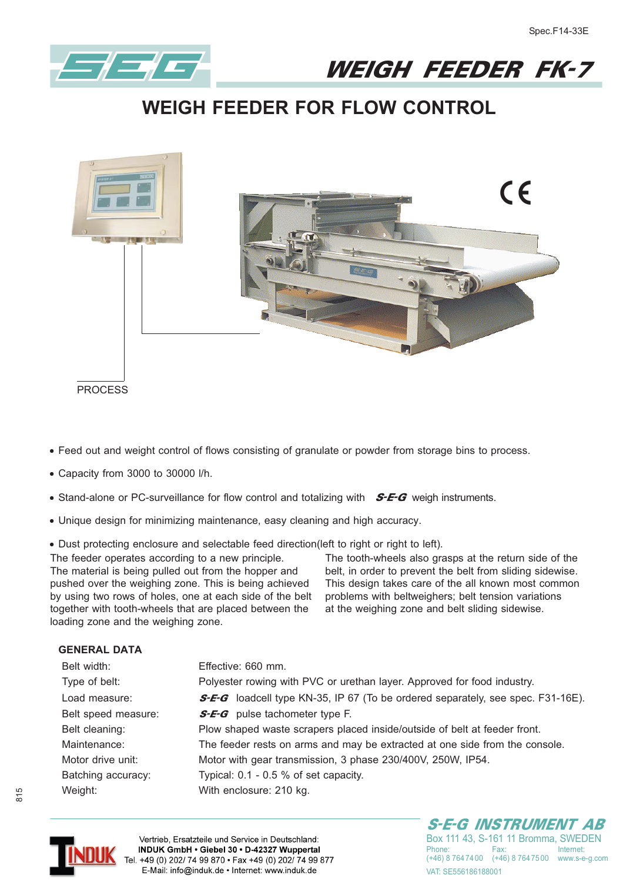

WEIGH FEEDER FK-7

## **WEIGH FEEDER FOR FLOW CONTROL**



PROCESS

- **- Feed out and weight control of flows consisting of granulate or powder from storage bins to process.**
- **- Capacity from 3000 to 30000 l/h.**
- **•** Stand-alone or PC-surveillance for flow control and totalizing with **S-E-G** weigh instruments.
- **- Unique design for minimizing maintenance, easy cleaning and high accuracy.**
- **- Dust protecting enclosure and selectable feed direction(left to right or right to left).**

The feeder operates according to a new principle. The material is being pulled out from the hopper and pushed over the weighing zone. This is being achieved by using two rows of holes, one at each side of the belt together with tooth-wheels that are placed between the loading zone and the weighing zone.

The tooth-wheels also grasps at the return side of the belt, in order to prevent the belt from sliding sidewise. This design takes care of the all known most common problems with beltweighers; belt tension variations at the weighing zone and belt sliding sidewise.

## **GENERAL DATA**

| Belt width:         | Effective: 660 mm.                                                                     |
|---------------------|----------------------------------------------------------------------------------------|
| Type of belt:       | Polyester rowing with PVC or urethan layer. Approved for food industry.                |
| Load measure:       | <b>S-E-G</b> loadcell type KN-35, IP 67 (To be ordered separately, see spec. F31-16E). |
| Belt speed measure: | <b>S-E-G</b> pulse tachometer type F.                                                  |
| Belt cleaning:      | Plow shaped waste scrapers placed inside/outside of belt at feeder front.              |
| Maintenance:        | The feeder rests on arms and may be extracted at one side from the console.            |
| Motor drive unit:   | Motor with gear transmission, 3 phase 230/400V, 250W, IP54.                            |
| Batching accuracy:  | Typical: 0.1 - 0.5 % of set capacity.                                                  |
| Weight:             | With enclosure: 210 kg.                                                                |



Vertrieb, Ersatzteile und Service in Deutschland: INDUK GmbH · Giebel 30 · D-42327 Wuppertal Tel. +49 (0) 202/ 74 99 870 · Fax +49 (0) 202/ 74 99 877 E-Mail: info@induk.de · Internet: www.induk.de

S-E-G INSTRUMENT AB

Box 111 43, S-161 11 Bromma, SWEDEN<br>Phone: Fax: Internet: (+46) 8 764 74 00 (+46) 8 764 75 00 www.s-e-g.com VAT: SF556186188001